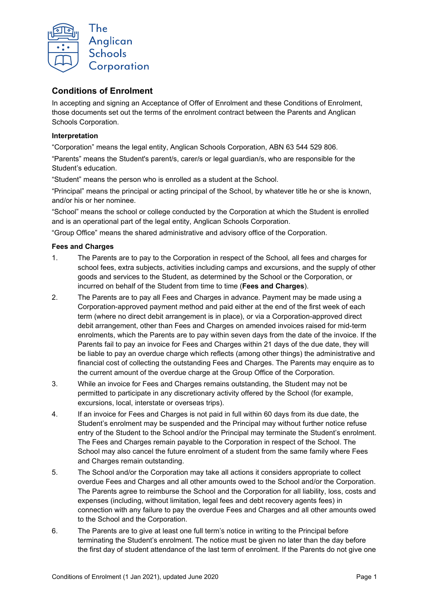

# **Conditions of Enrolment**

In accepting and signing an Acceptance of Offer of Enrolment and these Conditions of Enrolment, those documents set out the terms of the enrolment contract between the Parents and Anglican Schools Corporation.

# **Interpretation**

"Corporation" means the legal entity, Anglican Schools Corporation, ABN 63 544 529 806.

"Parents" means the Student's parent/s, carer/s or legal guardian/s, who are responsible for the Student's education.

"Student" means the person who is enrolled as a student at the School.

"Principal" means the principal or acting principal of the School, by whatever title he or she is known, and/or his or her nominee.

"School" means the school or college conducted by the Corporation at which the Student is enrolled and is an operational part of the legal entity, Anglican Schools Corporation.

"Group Office" means the shared administrative and advisory office of the Corporation.

#### **Fees and Charges**

- 1. The Parents are to pay to the Corporation in respect of the School, all fees and charges for school fees, extra subjects, activities including camps and excursions, and the supply of other goods and services to the Student, as determined by the School or the Corporation, or incurred on behalf of the Student from time to time (**Fees and Charges**).
- 2. The Parents are to pay all Fees and Charges in advance. Payment may be made using a Corporation-approved payment method and paid either at the end of the first week of each term (where no direct debit arrangement is in place), or via a Corporation-approved direct debit arrangement, other than Fees and Charges on amended invoices raised for mid-term enrolments, which the Parents are to pay within seven days from the date of the invoice. If the Parents fail to pay an invoice for Fees and Charges within 21 days of the due date, they will be liable to pay an overdue charge which reflects (among other things) the administrative and financial cost of collecting the outstanding Fees and Charges. The Parents may enquire as to the current amount of the overdue charge at the Group Office of the Corporation.
- 3. While an invoice for Fees and Charges remains outstanding, the Student may not be permitted to participate in any discretionary activity offered by the School (for example, excursions, local, interstate or overseas trips).
- 4. If an invoice for Fees and Charges is not paid in full within 60 days from its due date, the Student's enrolment may be suspended and the Principal may without further notice refuse entry of the Student to the School and/or the Principal may terminate the Student's enrolment. The Fees and Charges remain payable to the Corporation in respect of the School. The School may also cancel the future enrolment of a student from the same family where Fees and Charges remain outstanding.
- 5. The School and/or the Corporation may take all actions it considers appropriate to collect overdue Fees and Charges and all other amounts owed to the School and/or the Corporation. The Parents agree to reimburse the School and the Corporation for all liability, loss, costs and expenses (including, without limitation, legal fees and debt recovery agents fees) in connection with any failure to pay the overdue Fees and Charges and all other amounts owed to the School and the Corporation.
- 6. The Parents are to give at least one full term's notice in writing to the Principal before terminating the Student's enrolment. The notice must be given no later than the day before the first day of student attendance of the last term of enrolment. If the Parents do not give one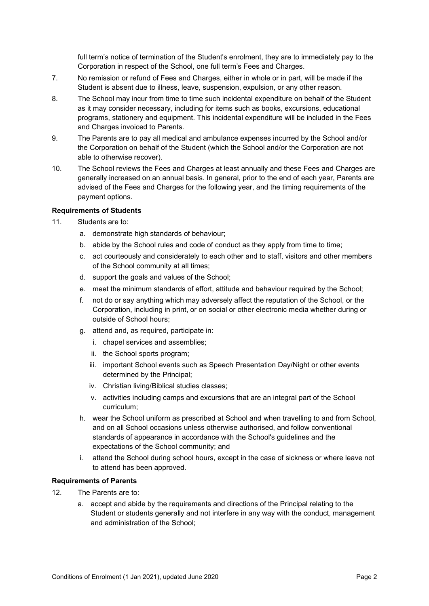full term's notice of termination of the Student's enrolment, they are to immediately pay to the Corporation in respect of the School, one full term's Fees and Charges.

- 7. No remission or refund of Fees and Charges, either in whole or in part, will be made if the Student is absent due to illness, leave, suspension, expulsion, or any other reason.
- 8. The School may incur from time to time such incidental expenditure on behalf of the Student as it may consider necessary, including for items such as books, excursions, educational programs, stationery and equipment. This incidental expenditure will be included in the Fees and Charges invoiced to Parents.
- 9. The Parents are to pay all medical and ambulance expenses incurred by the School and/or the Corporation on behalf of the Student (which the School and/or the Corporation are not able to otherwise recover).
- 10. The School reviews the Fees and Charges at least annually and these Fees and Charges are generally increased on an annual basis. In general, prior to the end of each year, Parents are advised of the Fees and Charges for the following year, and the timing requirements of the payment options.

#### **Requirements of Students**

- 11. Students are to:
	- a. demonstrate high standards of behaviour;
	- b. abide by the School rules and code of conduct as they apply from time to time;
	- c. act courteously and considerately to each other and to staff, visitors and other members of the School community at all times;
	- d. support the goals and values of the School;
	- e. meet the minimum standards of effort, attitude and behaviour required by the School;
	- f. not do or say anything which may adversely affect the reputation of the School, or the Corporation, including in print, or on social or other electronic media whether during or outside of School hours;
	- g. attend and, as required, participate in:
		- i. chapel services and assemblies;
		- ii. the School sports program;
		- iii. important School events such as Speech Presentation Day/Night or other events determined by the Principal;
		- iv. Christian living/Biblical studies classes;
		- v. activities including camps and excursions that are an integral part of the School curriculum;
	- h. wear the School uniform as prescribed at School and when travelling to and from School, and on all School occasions unless otherwise authorised, and follow conventional standards of appearance in accordance with the School's guidelines and the expectations of the School community; and
	- i. attend the School during school hours, except in the case of sickness or where leave not to attend has been approved.

#### **Requirements of Parents**

- 12. The Parents are to:
	- a. accept and abide by the requirements and directions of the Principal relating to the Student or students generally and not interfere in any way with the conduct, management and administration of the School;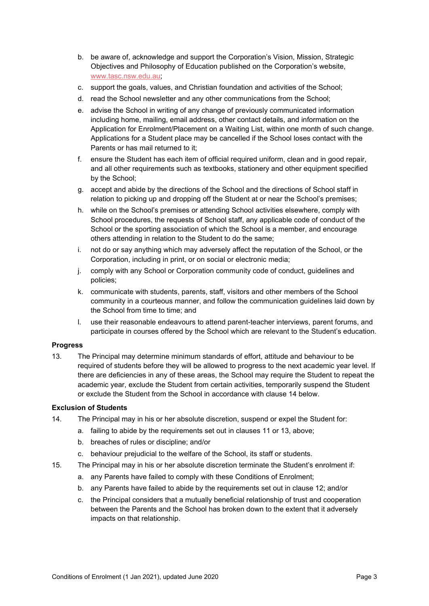- b. be aware of, acknowledge and support the Corporation's Vision, Mission, Strategic Objectives and Philosophy of Education published on the Corporation's website, [www.tasc.nsw.edu.au;](http://www.tasc.nsw.edu.au/)
- c. support the goals, values, and Christian foundation and activities of the School;
- d. read the School newsletter and any other communications from the School;
- e. advise the School in writing of any change of previously communicated information including home, mailing, email address, other contact details, and information on the Application for Enrolment/Placement on a Waiting List, within one month of such change. Applications for a Student place may be cancelled if the School loses contact with the Parents or has mail returned to it;
- f. ensure the Student has each item of official required uniform, clean and in good repair, and all other requirements such as textbooks, stationery and other equipment specified by the School;
- g. accept and abide by the directions of the School and the directions of School staff in relation to picking up and dropping off the Student at or near the School's premises;
- h. while on the School's premises or attending School activities elsewhere, comply with School procedures, the requests of School staff, any applicable code of conduct of the School or the sporting association of which the School is a member, and encourage others attending in relation to the Student to do the same;
- i. not do or say anything which may adversely affect the reputation of the School, or the Corporation, including in print, or on social or electronic media;
- j. comply with any School or Corporation community code of conduct, guidelines and policies;
- k. communicate with students, parents, staff, visitors and other members of the School community in a courteous manner, and follow the communication guidelines laid down by the School from time to time; and
- l. use their reasonable endeavours to attend parent-teacher interviews, parent forums, and participate in courses offered by the School which are relevant to the Student's education.

# **Progress**

13. The Principal may determine minimum standards of effort, attitude and behaviour to be required of students before they will be allowed to progress to the next academic year level. If there are deficiencies in any of these areas, the School may require the Student to repeat the academic year, exclude the Student from certain activities, temporarily suspend the Student or exclude the Student from the School in accordance with clause 14 below.

# **Exclusion of Students**

- 14. The Principal may in his or her absolute discretion, suspend or expel the Student for:
	- a. failing to abide by the requirements set out in clauses 11 or 13, above;
	- b. breaches of rules or discipline; and/or
	- c. behaviour prejudicial to the welfare of the School, its staff or students.
- 15. The Principal may in his or her absolute discretion terminate the Student's enrolment if:
	- a. any Parents have failed to comply with these Conditions of Enrolment;
	- b. any Parents have failed to abide by the requirements set out in clause 12; and/or
	- c. the Principal considers that a mutually beneficial relationship of trust and cooperation between the Parents and the School has broken down to the extent that it adversely impacts on that relationship.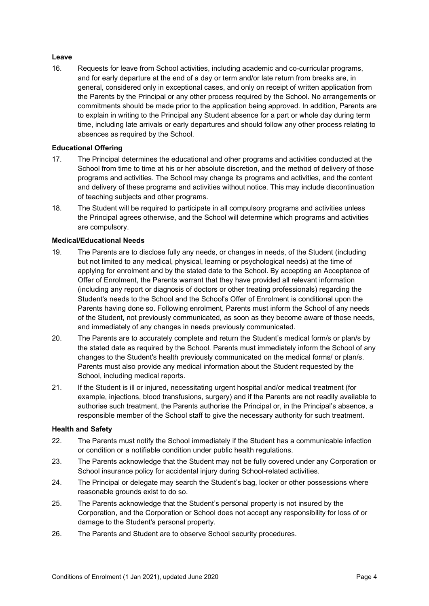# **Leave**

16. Requests for leave from School activities, including academic and co-curricular programs, and for early departure at the end of a day or term and/or late return from breaks are, in general, considered only in exceptional cases, and only on receipt of written application from the Parents by the Principal or any other process required by the School. No arrangements or commitments should be made prior to the application being approved. In addition, Parents are to explain in writing to the Principal any Student absence for a part or whole day during term time, including late arrivals or early departures and should follow any other process relating to absences as required by the School.

### **Educational Offering**

- 17. The Principal determines the educational and other programs and activities conducted at the School from time to time at his or her absolute discretion, and the method of delivery of those programs and activities. The School may change its programs and activities, and the content and delivery of these programs and activities without notice. This may include discontinuation of teaching subjects and other programs.
- 18. The Student will be required to participate in all compulsory programs and activities unless the Principal agrees otherwise, and the School will determine which programs and activities are compulsory.

#### **Medical/Educational Needs**

- 19. The Parents are to disclose fully any needs, or changes in needs, of the Student (including but not limited to any medical, physical, learning or psychological needs) at the time of applying for enrolment and by the stated date to the School. By accepting an Acceptance of Offer of Enrolment, the Parents warrant that they have provided all relevant information (including any report or diagnosis of doctors or other treating professionals) regarding the Student's needs to the School and the School's Offer of Enrolment is conditional upon the Parents having done so. Following enrolment, Parents must inform the School of any needs of the Student, not previously communicated, as soon as they become aware of those needs, and immediately of any changes in needs previously communicated.
- 20. The Parents are to accurately complete and return the Student's medical form/s or plan/s by the stated date as required by the School. Parents must immediately inform the School of any changes to the Student's health previously communicated on the medical forms/ or plan/s. Parents must also provide any medical information about the Student requested by the School, including medical reports.
- 21. If the Student is ill or injured, necessitating urgent hospital and/or medical treatment (for example, injections, blood transfusions, surgery) and if the Parents are not readily available to authorise such treatment, the Parents authorise the Principal or, in the Principal's absence, a responsible member of the School staff to give the necessary authority for such treatment.

# **Health and Safety**

- 22. The Parents must notify the School immediately if the Student has a communicable infection or condition or a notifiable condition under public health regulations.
- 23. The Parents acknowledge that the Student may not be fully covered under any Corporation or School insurance policy for accidental injury during School-related activities.
- 24. The Principal or delegate may search the Student's bag, locker or other possessions where reasonable grounds exist to do so.
- 25. The Parents acknowledge that the Student's personal property is not insured by the Corporation, and the Corporation or School does not accept any responsibility for loss of or damage to the Student's personal property.
- 26. The Parents and Student are to observe School security procedures.